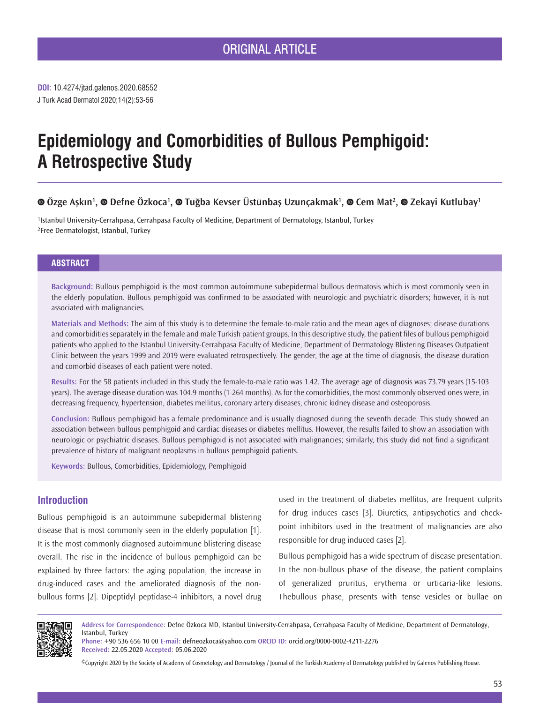J Turk Acad Dermatol 2020;14(2):53-56 **DOI:** 10.4274/jtad.galenos.2020.68552

# **Epidemiology and Comorbidities of Bullous Pemphigoid: A Retrospective Study**

## **Özge Aşkın<sup>1</sup> ,Defne Özkoca<sup>1</sup> ,Tuğba Kevser Üstünbaş Uzunçakmak<sup>1</sup> ,Cem Mat2 ,Zekayi Kutlubay1**

1Istanbul University-Cerrahpasa, Cerrahpasa Faculty of Medicine, Department of Dermatology, Istanbul, Turkey 2Free Dermatologist, Istanbul, Turkey

## **ABSTRACT**

**Background:** Bullous pemphigoid is the most common autoimmune subepidermal bullous dermatosis which is most commonly seen in the elderly population. Bullous pemphigoid was confirmed to be associated with neurologic and psychiatric disorders; however, it is not associated with malignancies.

**Materials and Methods:** The aim of this study is to determine the female-to-male ratio and the mean ages of diagnoses; disease durations and comorbidities separately in the female and male Turkish patient groups. In this descriptive study, the patient files of bullous pemphigoid patients who applied to the Istanbul University-Cerrahpasa Faculty of Medicine, Department of Dermatology Blistering Diseases Outpatient Clinic between the years 1999 and 2019 were evaluated retrospectively. The gender, the age at the time of diagnosis, the disease duration and comorbid diseases of each patient were noted.

**Results:** For the 58 patients included in this study the female-to-male ratio was 1.42. The average age of diagnosis was 73.79 years (15-103 years). The average disease duration was 104.9 months (1-264 months). As for the comorbidities, the most commonly observed ones were, in decreasing frequency, hypertension, diabetes mellitus, coronary artery diseases, chronic kidney disease and osteoporosis.

**Conclusion:** Bullous pemphigoid has a female predominance and is usually diagnosed during the seventh decade. This study showed an association between bullous pemphigoid and cardiac diseases or diabetes mellitus. However, the results failed to show an association with neurologic or psychiatric diseases. Bullous pemphigoid is not associated with malignancies; similarly, this study did not find a significant prevalence of history of malignant neoplasms in bullous pemphigoid patients.

**Keywords:** Bullous, Comorbidities, Epidemiology, Pemphigoid

## **Introduction**

Bullous pemphigoid is an autoimmune subepidermal blistering disease that is most commonly seen in the elderly population [1]. It is the most commonly diagnosed autoimmune blistering disease overall. The rise in the incidence of bullous pemphigoid can be explained by three factors: the aging population, the increase in drug-induced cases and the ameliorated diagnosis of the nonbullous forms [2]. Dipeptidyl peptidase-4 inhibitors, a novel drug used in the treatment of diabetes mellitus, are frequent culprits for drug induces cases [3]. Diuretics, antipsychotics and checkpoint inhibitors used in the treatment of malignancies are also responsible for drug induced cases [2].

Bullous pemphigoid has a wide spectrum of disease presentation. In the non-bullous phase of the disease, the patient complains of generalized pruritus, erythema or urticaria-like lesions. Thebullous phase, presents with tense vesicles or bullae on



**Address for Correspondence:** Defne Özkoca MD, Istanbul University-Cerrahpasa, Cerrahpasa Faculty of Medicine, Department of Dermatology, Istanbul, Turkey

**Phone:** +90 536 656 10 00 **E-mail:** defneozkoca@yahoo.com **ORCID ID:** orcid.org/0000-0002-4211-2276 **Received:** 22.05.2020 **Accepted:** 05.06.2020

©Copyright 2020 by the Society of Academy of Cosmetology and Dermatology / Journal of the Turkish Academy of Dermatology published by Galenos Publishing House.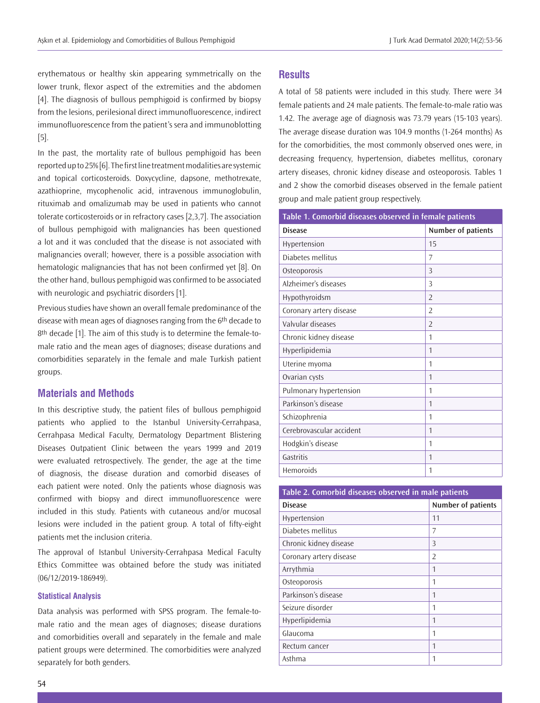erythematous or healthy skin appearing symmetrically on the lower trunk, flexor aspect of the extremities and the abdomen [4]. The diagnosis of bullous pemphigoid is confirmed by biopsy from the lesions, perilesional direct immunofluorescence, indirect immunofluorescence from the patient's sera and immunoblotting [5].

In the past, the mortality rate of bullous pemphigoid has been reported up to 25% [6]. The first line treatment modalities are systemic and topical corticosteroids. Doxycycline, dapsone, methotrexate, azathioprine, mycophenolic acid, intravenous immunoglobulin, rituximab and omalizumab may be used in patients who cannot tolerate corticosteroids or in refractory cases [2,3,7]. The association of bullous pemphigoid with malignancies has been questioned a lot and it was concluded that the disease is not associated with malignancies overall; however, there is a possible association with hematologic malignancies that has not been confirmed yet [8]. On the other hand, bullous pemphigoid was confirmed to be associated with neurologic and psychiatric disorders [1].

Previous studies have shown an overall female predominance of the disease with mean ages of diagnoses ranging from the 6th decade to 8<sup>th</sup> decade [1]. The aim of this study is to determine the female-tomale ratio and the mean ages of diagnoses; disease durations and comorbidities separately in the female and male Turkish patient groups.

## **Materials and Methods**

In this descriptive study, the patient files of bullous pemphigoid patients who applied to the Istanbul University-Cerrahpasa, Cerrahpasa Medical Faculty, Dermatology Department Blistering Diseases Outpatient Clinic between the years 1999 and 2019 were evaluated retrospectively. The gender, the age at the time of diagnosis, the disease duration and comorbid diseases of each patient were noted. Only the patients whose diagnosis was confirmed with biopsy and direct immunofluorescence were included in this study. Patients with cutaneous and/or mucosal lesions were included in the patient group. A total of fifty-eight patients met the inclusion criteria.

The approval of Istanbul University-Cerrahpasa Medical Faculty Ethics Committee was obtained before the study was initiated (06/12/2019-186949).

#### **Statistical Analysis**

Data analysis was performed with SPSS program. The female-tomale ratio and the mean ages of diagnoses; disease durations and comorbidities overall and separately in the female and male patient groups were determined. The comorbidities were analyzed separately for both genders.

## **Results**

A total of 58 patients were included in this study. There were 34 female patients and 24 male patients. The female-to-male ratio was 1.42. The average age of diagnosis was 73.79 years (15-103 years). The average disease duration was 104.9 months (1-264 months) As for the comorbidities, the most commonly observed ones were, in decreasing frequency, hypertension, diabetes mellitus, coronary artery diseases, chronic kidney disease and osteoporosis. Tables 1 and 2 show the comorbid diseases observed in the female patient group and male patient group respectively.

| Table 1. Comorbid diseases observed in female patients |                    |
|--------------------------------------------------------|--------------------|
| <b>Disease</b>                                         | Number of patients |
| Hypertension                                           | 15                 |
| Diabetes mellitus                                      | $\overline{7}$     |
| Osteoporosis                                           | $\overline{3}$     |
| Alzheimer's diseases                                   | 3                  |
| Hypothyroidsm                                          | $\overline{2}$     |
| Coronary artery disease                                | $\overline{2}$     |
| Valvular diseases                                      | $\mathcal{P}$      |
| Chronic kidney disease                                 | 1                  |
| Hyperlipidemia                                         | 1                  |
| Uterine myoma                                          | 1                  |
| Ovarian cysts                                          | 1                  |
| Pulmonary hypertension                                 | 1                  |
| Parkinson's disease                                    | 1                  |
| Schizophrenia                                          | 1                  |
| Cerebrovascular accident                               | 1                  |
| Hodgkin's disease                                      | 1                  |
| Gastritis                                              | 1                  |
| <b>Hemoroids</b>                                       | 1                  |

| Table 2. Comorbid diseases observed in male patients |                           |
|------------------------------------------------------|---------------------------|
| <b>Disease</b>                                       | <b>Number of patients</b> |
| Hypertension                                         | 11                        |
| Diabetes mellitus                                    | 7                         |
| Chronic kidney disease                               | 3                         |
| Coronary artery disease                              | $\mathcal{P}$             |
| Arrythmia                                            | 1                         |
| Osteoporosis                                         | 1                         |
| Parkinson's disease                                  | 1                         |
| Seizure disorder                                     | 1                         |
| Hyperlipidemia                                       | 1                         |
| Glaucoma                                             | 1                         |
| Rectum cancer                                        | 1                         |
| Asthma                                               | 1                         |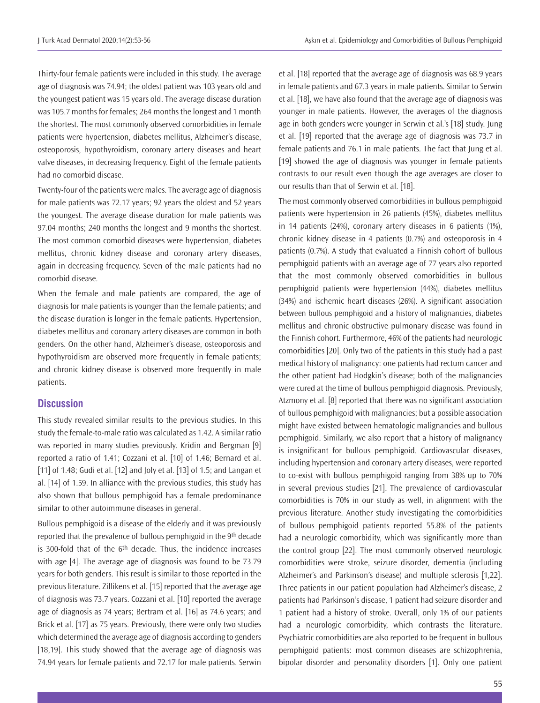Thirty-four female patients were included in this study. The average age of diagnosis was 74.94; the oldest patient was 103 years old and the youngest patient was 15 years old. The average disease duration was 105.7 months for females; 264 months the longest and 1 month the shortest. The most commonly observed comorbidities in female patients were hypertension, diabetes mellitus, Alzheimer's disease, osteoporosis, hypothyroidism, coronary artery diseases and heart valve diseases, in decreasing frequency. Eight of the female patients had no comorbid disease.

Twenty-four of the patients were males. The average age of diagnosis for male patients was 72.17 years; 92 years the oldest and 52 years the youngest. The average disease duration for male patients was 97.04 months; 240 months the longest and 9 months the shortest. The most common comorbid diseases were hypertension, diabetes mellitus, chronic kidney disease and coronary artery diseases, again in decreasing frequency. Seven of the male patients had no comorbid disease.

When the female and male patients are compared, the age of diagnosis for male patients is younger than the female patients; and the disease duration is longer in the female patients. Hypertension, diabetes mellitus and coronary artery diseases are common in both genders. On the other hand, Alzheimer's disease, osteoporosis and hypothyroidism are observed more frequently in female patients; and chronic kidney disease is observed more frequently in male patients.

## **Discussion**

This study revealed similar results to the previous studies. In this study the female-to-male ratio was calculated as 1.42. A similar ratio was reported in many studies previously. Kridin and Bergman [9] reported a ratio of 1.41; Cozzani et al. [10] of 1.46; Bernard et al. [11] of 1.48; Gudi et al. [12] and Joly et al. [13] of 1.5; and Langan et al. [14] of 1.59. In alliance with the previous studies, this study has also shown that bullous pemphigoid has a female predominance similar to other autoimmune diseases in general.

Bullous pemphigoid is a disease of the elderly and it was previously reported that the prevalence of bullous pemphigoid in the 9th decade is 300-fold that of the 6<sup>th</sup> decade. Thus, the incidence increases with age [4]. The average age of diagnosis was found to be 73.79 years for both genders. This result is similar to those reported in the previous literature. Zillikens et al. [15] reported that the average age of diagnosis was 73.7 years. Cozzani et al. [10] reported the average age of diagnosis as 74 years; Bertram et al. [16] as 74.6 years; and Brick et al. [17] as 75 years. Previously, there were only two studies which determined the average age of diagnosis according to genders [18,19]. This study showed that the average age of diagnosis was 74.94 years for female patients and 72.17 for male patients. Serwin

et al. [18] reported that the average age of diagnosis was 68.9 years in female patients and 67.3 years in male patients. Similar to Serwin et al. [18], we have also found that the average age of diagnosis was younger in male patients. However, the averages of the diagnosis age in both genders were younger in Serwin et al.'s [18] study. Jung et al. [19] reported that the average age of diagnosis was 73.7 in female patients and 76.1 in male patients. The fact that Jung et al. [19] showed the age of diagnosis was younger in female patients contrasts to our result even though the age averages are closer to our results than that of Serwin et al. [18].

The most commonly observed comorbidities in bullous pemphigoid patients were hypertension in 26 patients (45%), diabetes mellitus in 14 patients (24%), coronary artery diseases in 6 patients (1%), chronic kidney disease in 4 patients (0.7%) and osteoporosis in 4 patients (0.7%). A study that evaluated a Finnish cohort of bullous pemphigoid patients with an average age of 77 years also reported that the most commonly observed comorbidities in bullous pemphigoid patients were hypertension (44%), diabetes mellitus (34%) and ischemic heart diseases (26%). A significant association between bullous pemphigoid and a history of malignancies, diabetes mellitus and chronic obstructive pulmonary disease was found in the Finnish cohort. Furthermore, 46% of the patients had neurologic comorbidities [20]. Only two of the patients in this study had a past medical history of malignancy: one patients had rectum cancer and the other patient had Hodgkin's disease; both of the malignancies were cured at the time of bullous pemphigoid diagnosis. Previously, Atzmony et al. [8] reported that there was no significant association of bullous pemphigoid with malignancies; but a possible association might have existed between hematologic malignancies and bullous pemphigoid. Similarly, we also report that a history of malignancy is insignificant for bullous pemphigoid. Cardiovascular diseases, including hypertension and coronary artery diseases, were reported to co-exist with bullous pemphigoid ranging from 38% up to 70% in several previous studies [21]. The prevalence of cardiovascular comorbidities is 70% in our study as well, in alignment with the previous literature. Another study investigating the comorbidities of bullous pemphigoid patients reported 55.8% of the patients had a neurologic comorbidity, which was significantly more than the control group [22]. The most commonly observed neurologic comorbidities were stroke, seizure disorder, dementia (including Alzheimer's and Parkinson's disease) and multiple sclerosis [1,22]. Three patients in our patient population had Alzheimer's disease, 2 patients had Parkinson's disease, 1 patient had seizure disorder and 1 patient had a history of stroke. Overall, only 1% of our patients had a neurologic comorbidity, which contrasts the literature. Psychiatric comorbidities are also reported to be frequent in bullous pemphigoid patients: most common diseases are schizophrenia, bipolar disorder and personality disorders [1]. Only one patient